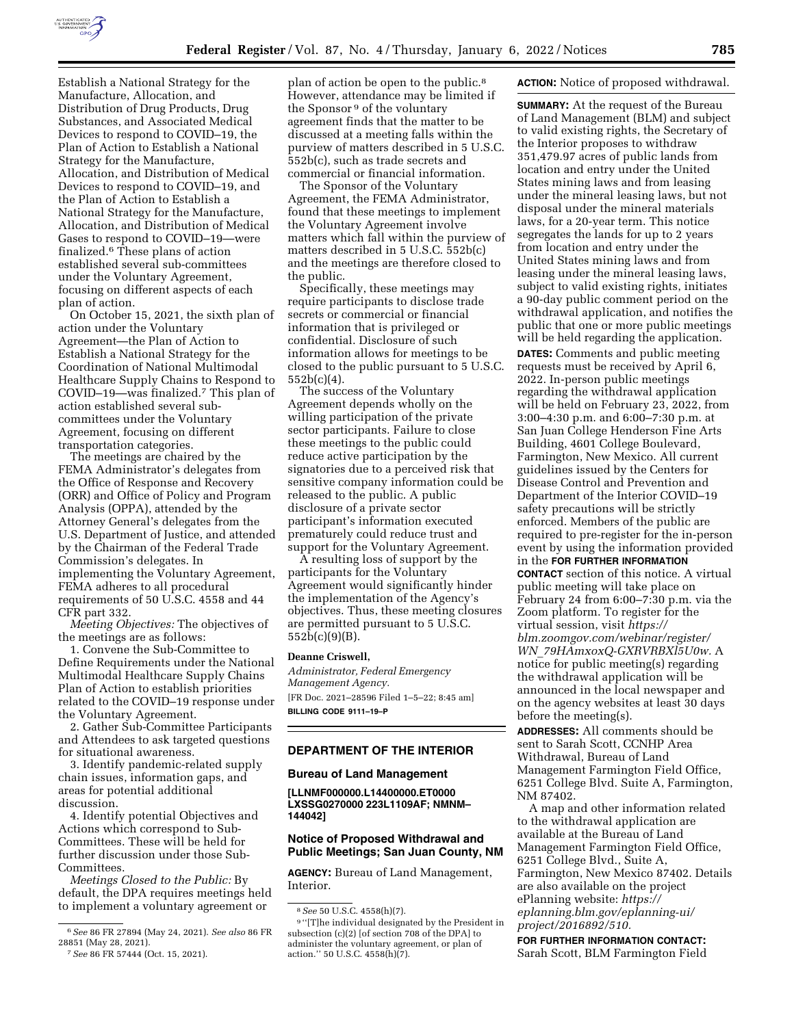

Establish a National Strategy for the Manufacture, Allocation, and Distribution of Drug Products, Drug Substances, and Associated Medical Devices to respond to COVID–19, the Plan of Action to Establish a National Strategy for the Manufacture, Allocation, and Distribution of Medical Devices to respond to COVID–19, and the Plan of Action to Establish a National Strategy for the Manufacture, Allocation, and Distribution of Medical Gases to respond to COVID–19—were finalized.6 These plans of action established several sub-committees under the Voluntary Agreement, focusing on different aspects of each plan of action.

On October 15, 2021, the sixth plan of action under the Voluntary Agreement—the Plan of Action to Establish a National Strategy for the Coordination of National Multimodal Healthcare Supply Chains to Respond to COVID–19—was finalized.7 This plan of action established several subcommittees under the Voluntary Agreement, focusing on different transportation categories.

The meetings are chaired by the FEMA Administrator's delegates from the Office of Response and Recovery (ORR) and Office of Policy and Program Analysis (OPPA), attended by the Attorney General's delegates from the U.S. Department of Justice, and attended by the Chairman of the Federal Trade Commission's delegates. In implementing the Voluntary Agreement, FEMA adheres to all procedural requirements of 50 U.S.C. 4558 and 44 CFR part 332.

*Meeting Objectives:* The objectives of the meetings are as follows:

1. Convene the Sub-Committee to Define Requirements under the National Multimodal Healthcare Supply Chains Plan of Action to establish priorities related to the COVID–19 response under the Voluntary Agreement.

2. Gather Sub-Committee Participants and Attendees to ask targeted questions for situational awareness.

3. Identify pandemic-related supply chain issues, information gaps, and areas for potential additional discussion.

4. Identify potential Objectives and Actions which correspond to Sub-Committees. These will be held for further discussion under those Sub-**Committees** 

*Meetings Closed to the Public:* By default, the DPA requires meetings held to implement a voluntary agreement or

plan of action be open to the public.8 However, attendance may be limited if the Sponsor 9 of the voluntary agreement finds that the matter to be discussed at a meeting falls within the purview of matters described in 5 U.S.C. 552b(c), such as trade secrets and commercial or financial information.

The Sponsor of the Voluntary Agreement, the FEMA Administrator, found that these meetings to implement the Voluntary Agreement involve matters which fall within the purview of matters described in 5 U.S.C. 552b(c) and the meetings are therefore closed to the public.

Specifically, these meetings may require participants to disclose trade secrets or commercial or financial information that is privileged or confidential. Disclosure of such information allows for meetings to be closed to the public pursuant to 5 U.S.C. 552b(c)(4).

The success of the Voluntary Agreement depends wholly on the willing participation of the private sector participants. Failure to close these meetings to the public could reduce active participation by the signatories due to a perceived risk that sensitive company information could be released to the public. A public disclosure of a private sector participant's information executed prematurely could reduce trust and support for the Voluntary Agreement.

A resulting loss of support by the participants for the Voluntary Agreement would significantly hinder the implementation of the Agency's objectives. Thus, these meeting closures are permitted pursuant to 5 U.S.C. 552b(c)(9)(B).

#### **Deanne Criswell,**

*Administrator, Federal Emergency Management Agency.*  [FR Doc. 2021–28596 Filed 1–5–22; 8:45 am] **BILLING CODE 9111–19–P** 

#### **DEPARTMENT OF THE INTERIOR**

### **Bureau of Land Management**

**[LLNMF000000.L14400000.ET0000 LXSSG0270000 223L1109AF; NMNM– 144042]** 

# **Notice of Proposed Withdrawal and Public Meetings; San Juan County, NM**

**AGENCY:** Bureau of Land Management, Interior.

### **ACTION:** Notice of proposed withdrawal.

**SUMMARY:** At the request of the Bureau of Land Management (BLM) and subject to valid existing rights, the Secretary of the Interior proposes to withdraw 351,479.97 acres of public lands from location and entry under the United States mining laws and from leasing under the mineral leasing laws, but not disposal under the mineral materials laws, for a 20-year term. This notice segregates the lands for up to 2 years from location and entry under the United States mining laws and from leasing under the mineral leasing laws, subject to valid existing rights, initiates a 90-day public comment period on the withdrawal application, and notifies the public that one or more public meetings will be held regarding the application.

**DATES:** Comments and public meeting requests must be received by April 6, 2022. In-person public meetings regarding the withdrawal application will be held on February 23, 2022, from 3:00–4:30 p.m. and 6:00–7:30 p.m. at San Juan College Henderson Fine Arts Building, 4601 College Boulevard, Farmington, New Mexico. All current guidelines issued by the Centers for Disease Control and Prevention and Department of the Interior COVID–19 safety precautions will be strictly enforced. Members of the public are required to pre-register for the in-person event by using the information provided in the **FOR FURTHER INFORMATION CONTACT** section of this notice. A virtual public meeting will take place on February 24 from 6:00–7:30 p.m. via the Zoom platform. To register for the virtual session, visit *[https://](https://blm.zoomgov.com/webinar/register/WN_79HAmxoxQ-GXRVRBXl5U0w) [blm.zoomgov.com/webinar/register/](https://blm.zoomgov.com/webinar/register/WN_79HAmxoxQ-GXRVRBXl5U0w) WN*\_*[79HAmxoxQ-GXRVRBXl5U0w.](https://blm.zoomgov.com/webinar/register/WN_79HAmxoxQ-GXRVRBXl5U0w)* A notice for public meeting(s) regarding the withdrawal application will be announced in the local newspaper and on the agency websites at least 30 days before the meeting(s).

**ADDRESSES:** All comments should be sent to Sarah Scott, CCNHP Area Withdrawal, Bureau of Land Management Farmington Field Office, 6251 College Blvd. Suite A, Farmington, NM 87402.

A map and other information related to the withdrawal application are available at the Bureau of Land Management Farmington Field Office, 6251 College Blvd., Suite A, Farmington, New Mexico 87402. Details are also available on the project ePlanning website: *[https://](https://eplanning.blm.gov/eplanning-ui/project/2016892/510) [eplanning.blm.gov/eplanning-ui/](https://eplanning.blm.gov/eplanning-ui/project/2016892/510)  [project/2016892/510.](https://eplanning.blm.gov/eplanning-ui/project/2016892/510)* 

**FOR FURTHER INFORMATION CONTACT:**  Sarah Scott, BLM Farmington Field

<sup>6</sup>*See* 86 FR 27894 (May 24, 2021). *See also* 86 FR 28851 (May 28, 2021).

<sup>7</sup>*See* 86 FR 57444 (Oct. 15, 2021).

<sup>8</sup>*See* 50 U.S.C. 4558(h)(7).

<sup>9</sup> ''[T]he individual designated by the President in subsection (c)(2) [of section 708 of the DPA] to administer the voluntary agreement, or plan of action.'' 50 U.S.C. 4558(h)(7).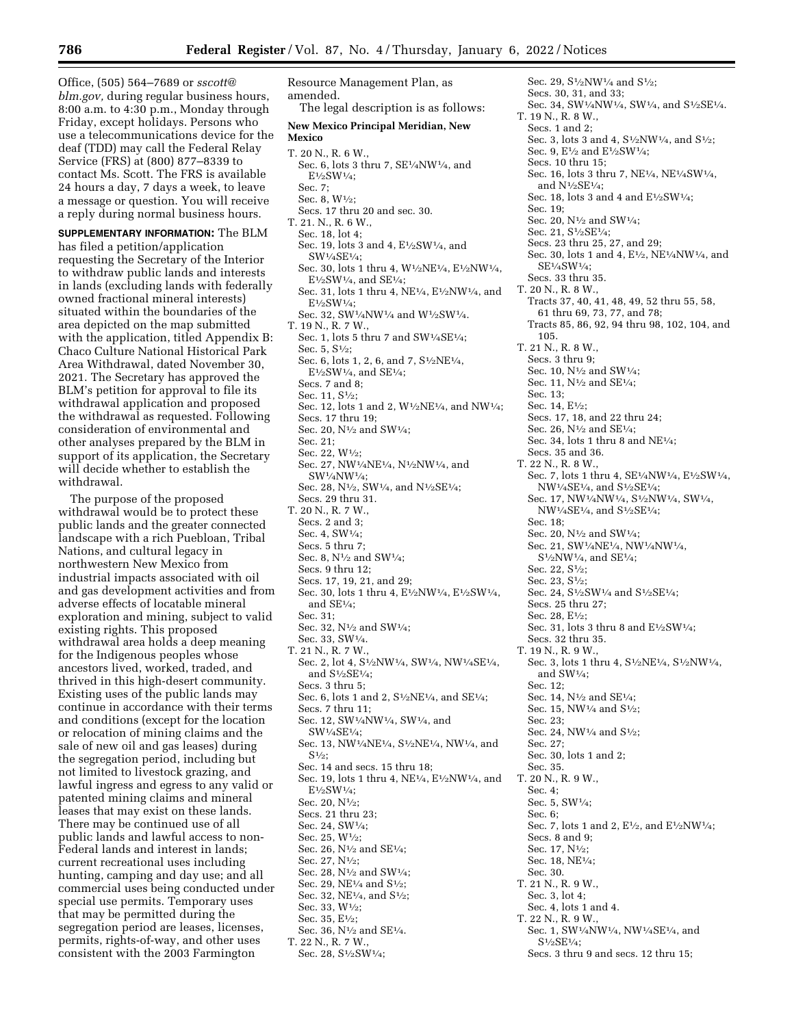Office, (505) 564–7689 or *[sscott@](mailto:sscott@blm.gov) [blm.gov,](mailto:sscott@blm.gov)* during regular business hours, 8:00 a.m. to 4:30 p.m., Monday through Friday, except holidays. Persons who use a telecommunications device for the deaf (TDD) may call the Federal Relay Service (FRS) at (800) 877–8339 to contact Ms. Scott. The FRS is available 24 hours a day, 7 days a week, to leave a message or question. You will receive a reply during normal business hours.

**SUPPLEMENTARY INFORMATION:** The BLM has filed a petition/application requesting the Secretary of the Interior to withdraw public lands and interests in lands (excluding lands with federally owned fractional mineral interests) situated within the boundaries of the area depicted on the map submitted with the application, titled Appendix B: Chaco Culture National Historical Park Area Withdrawal, dated November 30, 2021. The Secretary has approved the BLM's petition for approval to file its withdrawal application and proposed the withdrawal as requested. Following consideration of environmental and other analyses prepared by the BLM in support of its application, the Secretary will decide whether to establish the withdrawal.

The purpose of the proposed withdrawal would be to protect these public lands and the greater connected landscape with a rich Puebloan, Tribal Nations, and cultural legacy in northwestern New Mexico from industrial impacts associated with oil and gas development activities and from adverse effects of locatable mineral exploration and mining, subject to valid existing rights. This proposed withdrawal area holds a deep meaning for the Indigenous peoples whose ancestors lived, worked, traded, and thrived in this high-desert community. Existing uses of the public lands may continue in accordance with their terms and conditions (except for the location or relocation of mining claims and the sale of new oil and gas leases) during the segregation period, including but not limited to livestock grazing, and lawful ingress and egress to any valid or patented mining claims and mineral leases that may exist on these lands. There may be continued use of all public lands and lawful access to non-Federal lands and interest in lands; current recreational uses including hunting, camping and day use; and all commercial uses being conducted under special use permits. Temporary uses that may be permitted during the segregation period are leases, licenses, permits, rights-of-way, and other uses consistent with the 2003 Farmington

Resource Management Plan, as amended. The legal description is as follows: **New Mexico Principal Meridian, New Mexico**  T. 20 N., R. 6 W., Sec. 6, lots 3 thru 7, SE1⁄4NW1⁄4, and E1⁄2SW1⁄4; Sec. 7; Sec. 8, W1⁄2; Secs. 17 thru 20 and sec. 30. T. 21. N., R. 6 W., Sec. 18, lot 4; Sec. 19, lots 3 and 4, E<sup>1</sup>/<sub>2</sub>SW<sup>1</sup>/<sub>4</sub>, and SW1⁄4SE1⁄4; Sec. 30, lots 1 thru 4, W1⁄2NE1⁄4, E1⁄2NW1⁄4,  $E\frac{1}{2}SW\frac{1}{4}$ , and  $SE\frac{1}{4}$ ; Sec. 31, lots 1 thru 4,  $\rm NE^{1\!\!/\!}4, E^{1\!\!/\!2}\rm NW^{1\!/\!}4,$  and E1⁄2SW1⁄4; Sec. 32, SW1⁄4NW1⁄4 and W1⁄2SW1⁄4. T. 19 N., R. 7 W., Sec. 1, lots 5 thru 7 and SW1⁄4SE1⁄4; Sec. 5, S1⁄2; Sec. 6, lots 1, 2, 6, and 7, S<sup>1</sup>/<sub>2</sub>NE<sup>1</sup>/<sub>4</sub>,  $E\frac{1}{2}SW\frac{1}{4}$ , and  $SE\frac{1}{4}$ ; Secs. 7 and 8; Sec. 11, S1⁄2; Sec. 12, lots 1 and 2, W1⁄2NE1⁄4, and NW1⁄4; Secs. 17 thru 19; Sec. 20, N1⁄2 and SW1⁄4; Sec. 21; Sec. 22, W1⁄2; Sec. 27, NW1⁄4NE1⁄4, N1⁄2NW1⁄4, and SW1⁄4NW1⁄4; Sec. 28, N<sup>1</sup>/<sub>2</sub>, SW<sup>1</sup>/<sub>4</sub>, and N<sup>1</sup>/<sub>2</sub>SE<sup>1</sup>/<sub>4</sub>; Secs. 29 thru 31. T. 20 N., R. 7 W., Secs. 2 and 3; Sec. 4, SW1⁄4; Secs. 5 thru 7; Sec. 8, N1⁄2 and SW1⁄4; Secs. 9 thru 12; Secs. 17, 19, 21, and 29; Sec. 30, lots 1 thru 4, E1⁄2NW1⁄4, E1⁄2SW1⁄4, and  $SE1/4$ ; Sec. 31; Sec. 32, N1⁄2 and SW1⁄4; Sec. 33, SW1⁄4. T. 21 N., R. 7 W., Sec. 2, lot 4, S1⁄2NW1⁄4, SW1⁄4, NW1⁄4SE1⁄4, and S1⁄2SE1⁄4; Secs. 3 thru 5; Sec. 6, lots 1 and 2, S1⁄2NE1⁄4, and SE1⁄4; Secs. 7 thru 11; Sec. 12, SW1⁄4NW1⁄4, SW1⁄4, and SW1⁄4SE1⁄4; Sec. 13, NW1⁄4NE1⁄4, S1⁄2NE1⁄4, NW1⁄4, and  $S^{1/2}$ : Sec. 14 and secs. 15 thru 18; Sec. 19, lots 1 thru 4, NE1⁄4, E1⁄2NW1⁄4, and E1⁄2SW1⁄4; Sec. 20, N1⁄2; Secs. 21 thru 23; Sec. 24, SW1⁄4; Sec. 25, W1⁄2; Sec. 26,  $N^{1/2}$  and SE<sup>1</sup>/<sub>4</sub>; Sec. 27, N<sup>1</sup>/2; Sec. 28, N1⁄2 and SW1⁄4; Sec. 29, NE<sup>1</sup>/<sub>4</sub> and S<sup>1</sup>/<sub>2</sub>; Sec. 32, NE<sup>1</sup>/<sub>4</sub>, and S<sup>1</sup>/<sub>2</sub>; Sec. 33, W1⁄2; Sec. 35, E1⁄2; Sec. 36, N<sup>1</sup>/<sub>2</sub> and SE<sup>1</sup>/<sub>4</sub>. T. 22 N., R. 7 W., Sec. 28, S1⁄2SW1⁄4;

Sec. 29, S<sup>1</sup>/<sub>2</sub>NW<sup>1</sup>/<sub>4</sub> and S<sup>1</sup>/<sub>2</sub>: Secs. 30, 31, and 33; Sec. 34, SW1/4NW1/4, SW1/4, and S1/2SE1/4. T. 19 N., R. 8 W., Secs. 1 and 2; Sec. 3, lots 3 and 4, S<sup>1</sup>/<sub>2</sub>NW<sup>1</sup>/<sub>4</sub>, and S<sup>1</sup>/<sub>2</sub>; Sec. 9, E1⁄2 and E1⁄2SW1⁄4; Secs. 10 thru 15; Sec. 16, lots 3 thru 7, NE1⁄4, NE1⁄4SW1⁄4, and N1⁄2SE1⁄4; Sec. 18, lots 3 and 4 and E1⁄2SW1⁄4; Sec. 19; Sec. 20, N<sup>1</sup>/<sub>2</sub> and SW<sup>1</sup>/<sub>4</sub>; Sec. 21, S1⁄2SE1⁄4; Secs. 23 thru 25, 27, and 29; Sec. 30, lots 1 and 4, E1⁄2, NE1⁄4NW1⁄4, and SE1⁄4SW1⁄4; Secs. 33 thru 35. T. 20 N., R. 8 W., Tracts 37, 40, 41, 48, 49, 52 thru 55, 58, 61 thru 69, 73, 77, and 78; Tracts 85, 86, 92, 94 thru 98, 102, 104, and 105. T. 21 N., R. 8 W., Secs. 3 thru 9; Sec. 10, N1⁄2 and SW1⁄4; Sec. 11, N1⁄2 and SE1⁄4; Sec. 13; Sec. 14, E<sup>1</sup>/2: Secs. 17, 18, and 22 thru 24; Sec. 26, N1⁄2 and SE1⁄4; Sec. 34, lots 1 thru 8 and NE1⁄4; Secs. 35 and 36. T. 22 N., R. 8 W., Sec. 7, lots 1 thru 4, SE1⁄4NW1⁄4, E1⁄2SW1⁄4, NW1⁄4SE1⁄4, and S1⁄2SE1⁄4; Sec. 17, NW1⁄4NW1⁄4, S1⁄2NW1⁄4, SW1⁄4,  $\rm NW^{1}\!/_{4}SE^{1}\!/_{4},$  and  $\rm S^{1}\!/_{2}SE^{1}\!/_{4};$ Sec. 18; Sec. 20, N1⁄2 and SW1⁄4; Sec. 21, SW1⁄4NE1⁄4, NW1⁄4NW1⁄4, S1⁄2NW1⁄4, and SE1⁄4; Sec. 22, S1⁄2; Sec. 23, S1⁄2; Sec. 24, S<sup>1</sup>/<sub>2</sub>SW<sup>1</sup>/<sub>4</sub> and S<sup>1</sup>/<sub>2</sub>SE<sup>1</sup>/<sub>4</sub>; Secs. 25 thru 27; Sec. 28, E1⁄2; Sec. 31, lots 3 thru 8 and E1⁄2SW1⁄4; Secs. 32 thru 35. T. 19 N., R. 9 W., Sec. 3, lots 1 thru 4, S1⁄2NE1⁄4, S1⁄2NW1⁄4, and SW1⁄4; Sec. 12; Sec. 14, N1⁄2 and SE1⁄4; Sec. 15, NW<sup>1</sup>/<sub>4</sub> and S<sup>1</sup>/<sub>2</sub>: Sec. 23; Sec. 24, NW<sup>1</sup>/<sub>4</sub> and S<sup>1</sup>/<sub>2</sub>; Sec. 27; Sec. 30, lots 1 and 2; Sec. 35. T. 20 N., R. 9 W., Sec. 4; Sec. 5, SW1⁄4; Sec. 6; Sec. 7, lots 1 and 2, E<sup>1</sup>/<sub>2</sub>, and E<sup>1</sup>/<sub>2</sub>NW<sup>1</sup>/<sub>4</sub>; Secs. 8 and 9; Sec. 17, N1⁄2; Sec. 18, NE1⁄4; Sec. 30. T. 21 N., R. 9 W., Sec. 3, lot 4; Sec. 4, lots 1 and 4. T. 22 N., R. 9 W., Sec. 1, SW1/4NW1/4, NW1/4SE1/4, and S1⁄2SE1⁄4; Secs. 3 thru 9 and secs. 12 thru 15;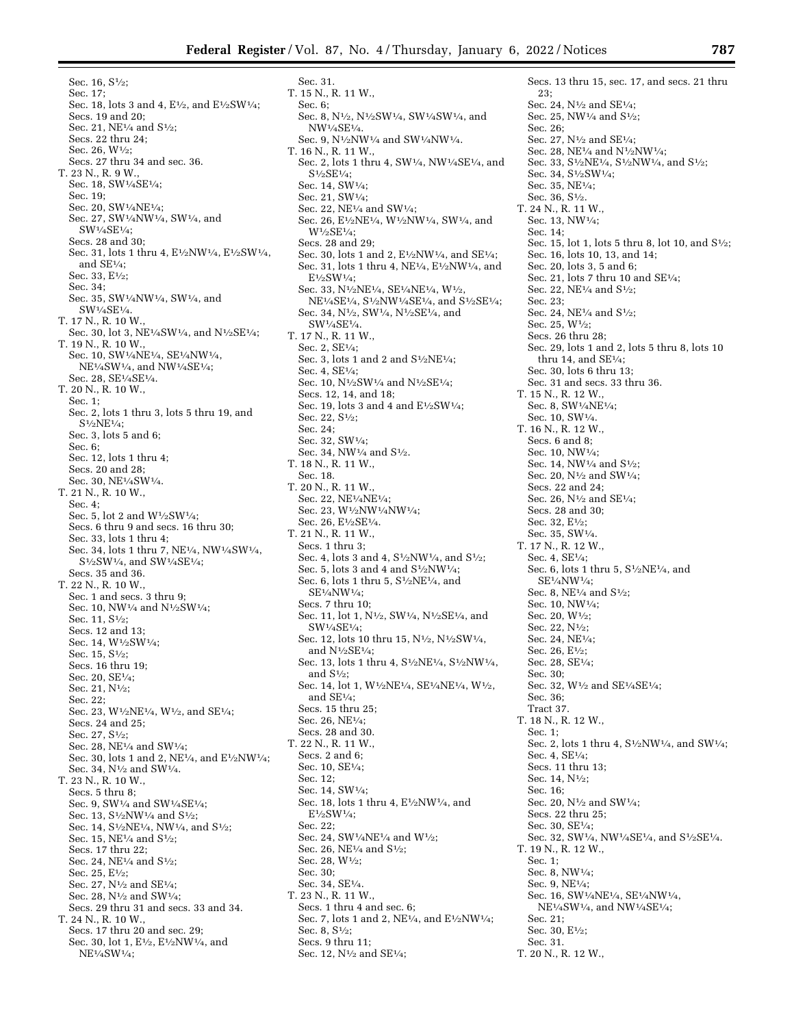Sec. 31.

Sec. 16, S1⁄2; Sec. 17; Sec. 18, lots 3 and 4, E<sup>1</sup>/2, and E<sup>1</sup>/2SW<sup>1</sup>/4; Secs. 19 and 20; Sec. 21, NE<sup>1</sup>/<sub>4</sub> and S<sup>1</sup>/<sub>2</sub>: Secs. 22 thru 24; Sec. 26, W1⁄2; Secs. 27 thru 34 and sec. 36. T. 23 N., R. 9 W., Sec. 18, SW1⁄4SE1⁄4; Sec. 19; Sec. 20, SW1⁄4NE1⁄4; Sec. 27, SW1⁄4NW1⁄4, SW1⁄4, and SW1⁄4SE1⁄4; Secs. 28 and 30; Sec. 31, lots 1 thru 4, E1⁄2NW1⁄4, E1⁄2SW1⁄4, and SE1⁄4; Sec. 33, E1⁄2; Sec. 34; Sec. 35, SW1⁄4NW1⁄4, SW1⁄4, and SW1⁄4SE1⁄4. T. 17 N., R. 10 W. Sec. 30, lot 3, NE<sup>1</sup>/<sub>4</sub>SW<sup>1</sup>/<sub>4</sub>, and N<sup>1</sup>/<sub>2</sub>SE<sup>1</sup>/<sub>4</sub>: T. 19 N., R. 10 W., Sec. 10, SW1⁄4NE1⁄4, SE1⁄4NW1⁄4, NE1⁄4SW1⁄4, and NW1⁄4SE1⁄4; Sec. 28, SE1⁄4SE1⁄4. T. 20 N., R. 10 W., Sec. 1; Sec. 2, lots 1 thru 3, lots 5 thru 19, and S1⁄2NE1⁄4; Sec. 3, lots 5 and 6; Sec. 6; Sec. 12, lots 1 thru 4; Secs. 20 and 28; Sec. 30, NE1⁄4SW1⁄4. T. 21 N., R. 10 W., Sec. 4; Sec. 5, lot 2 and W1⁄2SW1⁄4; Secs. 6 thru 9 and secs. 16 thru 30; Sec. 33, lots 1 thru 4; Sec. 34, lots 1 thru 7, NE1⁄4, NW1⁄4SW1⁄4, S1⁄2SW1⁄4, and SW1⁄4SE1⁄4; Secs. 35 and 36. T. 22 N., R. 10 W., Sec. 1 and secs. 3 thru 9; Sec. 10, NW<sup>1</sup>/<sub>4</sub> and N<sup>1</sup>/<sub>2</sub>SW<sup>1</sup>/<sub>4</sub>; Sec. 11, S1⁄2; Secs. 12 and 13; Sec. 14, W1⁄2SW1⁄4; Sec. 15, S<sup>1</sup>/<sub>2</sub>; Secs. 16 thru 19; Sec. 20, SE1⁄4; Sec. 21, N<sup>1</sup>/<sub>2</sub>: Sec. 22; Sec. 23, W<sup>1</sup>/2NE<sup>1</sup>/<sub>4</sub>, W<sup>1</sup>/<sub>2</sub>, and SE<sup>1</sup>/<sub>4</sub>; Secs. 24 and 25; Sec. 27, S1⁄2; Sec. 28, NE1⁄4 and SW1⁄4; Sec. 30, lots 1 and 2, NE1⁄4, and E1⁄2NW1⁄4; Sec. 34, N1⁄2 and SW1⁄4. T. 23 N., R. 10 W., Secs. 5 thru 8; Sec. 9, SW1/<sub>4</sub> and SW1/<sub>4</sub>SE<sup>1</sup>/<sub>4</sub>; Sec. 13, S<sup>1</sup>/<sub>2</sub>NW<sup>1</sup>/<sub>4</sub> and S<sup>1</sup>/<sub>2</sub>: Sec. 14, S<sup>1</sup>/<sub>2</sub>NE<sup>1</sup>/<sub>4</sub>, NW<sup>1</sup>/<sub>4</sub>, and S<sup>1</sup>/<sub>2</sub>; Sec. 15, NE1⁄4 and S1⁄2; Secs. 17 thru 22; Sec. 24, NE<sup>1</sup>/<sub>4</sub> and S<sup>1</sup>/<sub>2</sub>; Sec. 25, E1⁄2; Sec. 27, N1⁄2 and SE1⁄4; Sec. 28, N<sup>1</sup>/<sub>2</sub> and SW<sup>1</sup>/<sub>4</sub>; Secs. 29 thru 31 and secs. 33 and 34. T. 24 N., R. 10 W., Secs. 17 thru 20 and sec. 29; Sec. 30, lot 1, E1⁄2, E1⁄2NW1⁄4, and NE1⁄4SW1⁄4;

T. 15 N., R. 11 W., Sec. 6; Sec. 8, N<sup>1</sup>/<sub>2</sub>, N<sup>1</sup>/<sub>2</sub>SW<sup>1</sup>/<sub>4</sub>, SW<sup>1</sup>/<sub>4</sub>SW<sup>1</sup>/<sub>4</sub>, and NW1⁄4SE1⁄4. Sec. 9, N1⁄2NW1⁄4 and SW1⁄4NW1⁄4. T. 16 N., R. 11 W., Sec. 2, lots 1 thru 4, SW1⁄4, NW1⁄4SE1⁄4, and S1⁄2SE1⁄4; Sec. 14, SW1⁄4; Sec. 21, SW1⁄4; Sec. 22, NE1⁄4 and SW1⁄4; Sec. 26, E<sup>1</sup>/<sub>2</sub>NE<sup>1</sup>/<sub>4</sub>, W<sup>1</sup>/<sub>2</sub>NW<sup>1</sup>/<sub>4</sub>, SW<sup>1</sup>/<sub>4</sub>, and W1⁄2SE1⁄4; Secs. 28 and 29; Sec. 30, lots 1 and 2, E1⁄2NW1⁄4, and SE1⁄4; Sec. 31, lots 1 thru 4, NE1⁄4, E1⁄2NW1⁄4, and E1⁄2SW1⁄4; Sec. 33, N1⁄2NE1⁄4, SE1⁄4NE1⁄4, W1⁄2, NE1⁄4SE1⁄4, S1⁄2NW1⁄4SE1⁄4, and S1⁄2SE1⁄4; Sec. 34, N1⁄2, SW1⁄4, N1⁄2SE1⁄4, and SW1⁄4SE1⁄4. T. 17 N., R. 11 W., Sec. 2, SE1⁄4; Sec. 3, lots 1 and 2 and  $S<sup>1</sup>/2NE<sup>1</sup>/4$ ; Sec. 4,  $SE1/4$ ; Sec. 10, N<sup>1</sup>/<sub>2</sub>SW<sup>1</sup>/<sub>4</sub> and N<sup>1</sup>/<sub>2</sub>SE<sup>1</sup>/<sub>4</sub>; Secs. 12, 14, and 18; Sec. 19, lots 3 and 4 and  $E\frac{1}{2}SW\frac{1}{4}$ ; Sec. 22, S1⁄2; Sec. 24; Sec. 32, SW1⁄4; Sec. 34, NW<sup>1</sup>/<sub>4</sub> and S<sup>1</sup>/<sub>2</sub>. T. 18 N., R. 11 W., Sec. 18. T. 20 N., R. 11 W., Sec. 22, NE<sup>1</sup>/<sub>4</sub>NE<sup>1</sup>/<sub>4</sub>; Sec. 23, W<sup>1</sup>/2NW<sup>1</sup>/4NW<sup>1</sup>/4: Sec. 26, E1⁄2SE1⁄4. T. 21 N., R. 11 W., Secs. 1 thru 3; Sec. 4, lots 3 and 4, S<sup>1</sup>/<sub>2</sub>NW<sup>1</sup>/<sub>4</sub>, and S<sup>1</sup>/<sub>2</sub>; Sec. 5, lots 3 and 4 and  $S<sup>1</sup>/2NW<sup>1</sup>/4$ : Sec. 6, lots 1 thru 5, S<sup>1</sup>/<sub>2</sub>NE<sup>1</sup>/<sub>4</sub>, and SE1⁄4NW1⁄4; Secs. 7 thru 10; Sec. 11, lot 1, N1⁄2, SW1⁄4, N1⁄2SE1⁄4, and  $SW1/ASE1/A$ Sec. 12, lots 10 thru 15, N<sup>1</sup>/2, N<sup>1</sup>/2SW<sup>1</sup>/4, and N1⁄2SE1⁄4; Sec. 13, lots 1 thru 4, S1⁄2NE1⁄4, S1⁄2NW1⁄4, and  $S^{1/2}$ ; Sec. 14, lot 1, W1⁄2NE1⁄4, SE1⁄4NE1⁄4, W1⁄2, and SE1⁄4; Secs. 15 thru 25; Sec. 26, NE1⁄4; Secs. 28 and 30. T. 22 N., R. 11 W., Secs. 2 and 6; Sec. 10, SE1⁄4; Sec. 12; Sec. 14, SW1⁄4; Sec. 18, lots 1 thru 4, E1⁄2NW1⁄4, and E1⁄2SW1⁄4; Sec. 22; Sec. 24, SW1⁄4NE1⁄4 and W1⁄2; Sec. 26, NE $\frac{1}{4}$  and S $\frac{1}{2}$ ; Sec. 28, W1⁄2; Sec. 30; Sec. 34, SE1⁄4. T. 23 N., R. 11 W., Secs. 1 thru 4 and sec. 6; Sec. 7, lots 1 and 2, NE1⁄4, and E1⁄2NW1⁄4; Sec. 8, S1⁄2; Secs. 9 thru 11; Sec. 12, N<sup>1</sup>/<sub>2</sub> and SE<sup>1</sup>/<sub>4</sub>;

Secs. 13 thru 15, sec. 17, and secs. 21 thru 23; Sec. 24, N1⁄2 and SE1⁄4; Sec. 25, NW<sup>1</sup>/<sub>4</sub> and S<sup>1</sup>/<sub>2</sub>;  $Sec. 26$ ; Sec. 27, N1⁄2 and SE1⁄4; Sec. 28, NE1⁄4 and N1⁄2NW1⁄4; Sec. 33, S<sup>1</sup>/2NE<sup>1</sup>/4, S<sup>1</sup>/2NW<sup>1</sup>/4, and S<sup>1</sup>/2; Sec. 34, S1⁄2SW1⁄4; Sec. 35, NE1⁄4; Sec. 36, S1⁄2. T. 24 N., R. 11 W., Sec. 13, NW1⁄4; Sec. 14; Sec. 15, lot 1, lots 5 thru 8, lot 10, and S<sup>1</sup>/<sub>2</sub>; Sec. 16, lots 10, 13, and 14; Sec. 20, lots 3, 5 and 6; Sec. 21, lots 7 thru 10 and SE1⁄4; Sec. 22, NE1⁄4 and S1⁄2; Sec. 23; Sec. 24, NE<sup>1</sup>/<sub>4</sub> and S<sup>1</sup>/<sub>2</sub>: Sec. 25, W1⁄2; Secs. 26 thru 28; Sec. 29, lots 1 and 2, lots 5 thru 8, lots 10 thru 14, and  $SE<sup>1</sup>/4$ ; Sec. 30, lots 6 thru 13; Sec. 31 and secs. 33 thru 36. T. 15 N., R. 12 W., Sec. 8, SW1⁄4NE1⁄4; Sec. 10, SW1⁄4. T. 16 N., R. 12 W., Secs. 6 and 8; Sec. 10, NW1⁄4; Sec. 14, NW<sup>1</sup>/<sub>4</sub> and S<sup>1</sup>/<sub>2</sub>; Sec. 20, N1⁄2 and SW1⁄4; Secs. 22 and 24; Sec. 26, N1⁄2 and SE1⁄4; Secs. 28 and 30; Sec. 32, E1⁄2; Sec. 35, SW1⁄4. T. 17 N., R. 12 W., Sec. 4, SE1⁄4; Sec. 6, lots 1 thru 5,  $S<sup>1</sup>/2NE<sup>1</sup>/4$ , and SE1⁄4NW1⁄4; Sec. 8, NE1⁄4 and S1⁄2; Sec. 10, NW1⁄4; Sec. 20, W1⁄2; Sec. 22, N1⁄2; Sec. 24, NE1⁄4; Sec. 26, E1⁄2; Sec. 28, SE1⁄4; Sec. 30; Sec. 32, W<sup>1</sup>/<sub>2</sub> and SE<sup>1</sup>/<sub>4</sub>SE<sup>1</sup>/<sub>4</sub>; Sec. 36; Tract 37. T. 18 N., R. 12 W., Sec. 1; Sec. 2, lots 1 thru 4, S<sup>1</sup>/<sub>2</sub>NW<sup>1</sup>/<sub>4</sub>, and SW<sup>1</sup>/<sub>4</sub>; Sec. 4, SE1⁄4; Secs. 11 thru 13; Sec. 14, N1⁄2; Sec. 16; Sec. 20, N1⁄2 and SW1⁄4; Secs. 22 thru 25; Sec. 30,  $SE1/4$ ; Sec. 32, SW1/4, NW1/4SE1/4, and S1/2SE1/4. T. 19 N., R. 12 W., Sec. 1; Sec. 8, NW1⁄4; Sec. 9, NE1⁄4; Sec. 16, SW1⁄4NE1⁄4, SE1⁄4NW1⁄4, NE1⁄4SW1⁄4, and NW1⁄4SE1⁄4; Sec. 21; Sec. 30, E1⁄2; Sec. 31. T. 20 N., R. 12 W.,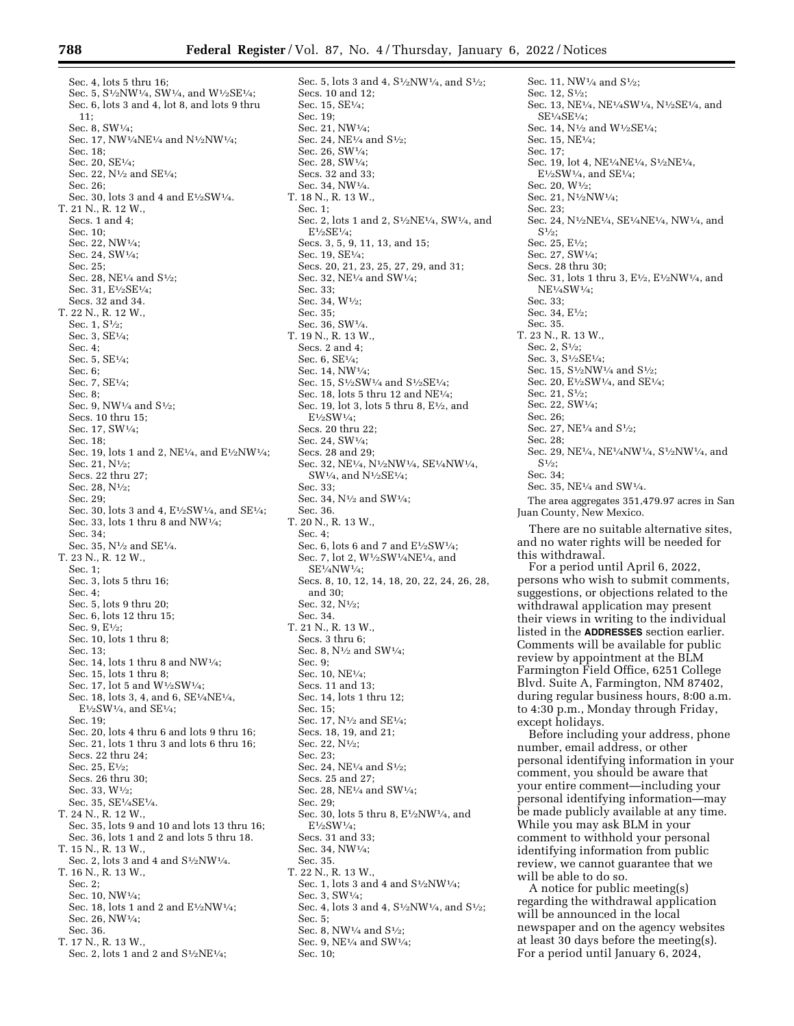Sec. 4, lots 5 thru 16; Sec. 5, S<sup>1</sup>/<sub>2</sub>NW<sup>1</sup>/<sub>4</sub>, SW<sup>1</sup>/<sub>4</sub>, and W<sup>1</sup>/<sub>2</sub>SE<sup>1</sup>/<sub>4</sub>; Sec. 6, lots 3 and 4, lot 8, and lots 9 thru 11; Sec. 8, SW1⁄4; Sec. 17, NW1⁄4NE1⁄4 and N1⁄2NW1⁄4; Sec. 18; Sec. 20, SE1⁄4; Sec. 22, N<sup>1</sup>/<sub>2</sub> and SE<sup>1</sup>/<sub>4</sub>; Sec. 26; Sec. 30, lots 3 and 4 and  $E\frac{1}{2}SW\frac{1}{4}$ . T. 21 N., R. 12 W., Secs. 1 and 4; Sec. 10; Sec. 22, NW1⁄4; Sec. 24, SW1⁄4; Sec. 25; Sec. 28, NE1⁄4 and S1⁄2; Sec. 31, E1⁄2SE1⁄4; Secs. 32 and 34. T. 22 N., R. 12 W., Sec. 1, S1⁄2; Sec. 3, SE1⁄4; Sec. 4; Sec. 5, SE1⁄4; Sec. 6; Sec. 7, SE1⁄4; Sec. 8; Sec. 9, NW $\frac{1}{4}$  and S $\frac{1}{2}$ ; Secs. 10 thru 15; Sec. 17, SW1⁄4; Sec. 18; Sec. 19, lots 1 and 2, NE<sup>1</sup>/<sub>4</sub>, and E<sup>1</sup>/<sub>2</sub>NW<sup>1</sup>/<sub>4</sub>: Sec. 21, N<sup>1</sup>/2; Secs. 22 thru 27; Sec. 28, N<sup>1</sup>/2; Sec. 29; Sec. 30, lots 3 and 4, E<sup>1</sup>/<sub>2</sub>SW<sup>1</sup>/<sub>4</sub>, and SE<sup>1</sup>/<sub>4</sub>: Sec. 33, lots 1 thru 8 and NW1⁄4;  $Sec. 34$ Sec. 35, N<sup>1</sup>/<sub>2</sub> and SE<sup>1</sup>/<sub>4</sub>. T. 23 N., R. 12 W., Sec.  $1$ ; Sec. 3, lots 5 thru 16; Sec. 4; Sec. 5, lots 9 thru 20; Sec. 6, lots 12 thru 15; Sec. 9,  $E1/2$ ; Sec. 10, lots 1 thru 8; Sec. 13; Sec. 14, lots 1 thru 8 and NW1⁄4; Sec. 15, lots 1 thru 8; Sec. 17, lot 5 and W1⁄2SW1⁄4; Sec. 18, lots 3, 4, and 6, SE1⁄4NE1⁄4,  $E\frac{1}{2}SW\frac{1}{4}$ , and  $SE\frac{1}{4}$ : Sec. 19; Sec. 20, lots 4 thru 6 and lots 9 thru 16; Sec. 21, lots 1 thru 3 and lots 6 thru 16; Secs. 22 thru 24; Sec. 25, E<sup>1</sup>/2; Secs. 26 thru 30; Sec. 33, W1⁄2; Sec. 35, SE1⁄4SE1⁄4. T. 24 N., R. 12 W., Sec. 35, lots 9 and 10 and lots 13 thru 16; Sec. 36, lots 1 and 2 and lots 5 thru 18. T. 15 N., R. 13 W., Sec. 2, lots 3 and 4 and  $\rm S^{1}\!/_{2}N W^{1}\!/_{4}.$ T. 16 N., R. 13 W., Sec.  $2 \cdot$ Sec. 10, NW1⁄4; Sec. 18, lots 1 and 2 and  $E\frac{1}{2}NW\frac{1}{4}$ ; Sec. 26, NW1⁄4; Sec. 36. T. 17 N., R. 13 W., Sec. 2, lots 1 and 2 and S1⁄2NE1⁄4;

Sec. 5, lots 3 and 4, S<sup>1</sup>/<sub>2</sub>NW<sup>1</sup>/<sub>4</sub>, and S<sup>1</sup>/<sub>2</sub>; Secs. 10 and 12; Sec. 15, SE1⁄4; Sec. 19; Sec. 21, NW1⁄4; Sec. 24, NE<sup>1</sup>/<sub>4</sub> and S<sup>1</sup>/<sub>2</sub>; Sec. 26, SW1⁄4; Sec. 28, SW1⁄4; Secs. 32 and 33; Sec. 34, NW1⁄4. T. 18 N., R. 13 W., Sec. 1; Sec. 2, lots 1 and 2, S<sup>1</sup>/<sub>2</sub>NE<sup>1</sup>/<sub>4</sub>, SW<sup>1</sup>/<sub>4</sub>, and E1⁄2SE1⁄4; Secs. 3, 5, 9, 11, 13, and 15; Sec. 19, SE1⁄4; Secs. 20, 21, 23, 25, 27, 29, and 31; Sec. 32, NE1⁄4 and SW1⁄4; Sec. 33; Sec. 34, W1⁄2;  $Ser. 35$ ; Sec. 36, SW1⁄4. T. 19 N., R. 13 W., Secs. 2 and 4; Sec. 6, SE1⁄4; Sec. 14, NW1⁄4; Sec. 15, S<sup>1</sup>/<sub>2</sub>SW<sup>1</sup>/<sub>4</sub> and S<sup>1</sup>/<sub>2</sub>SE<sup>1</sup>/<sub>4</sub>; Sec. 18, lots 5 thru 12 and NE1⁄4; Sec. 19, lot 3, lots 5 thru 8, E1⁄2, and  $E^{1/2}SW^{1/4}$ Secs. 20 thru 22; Sec. 24, SW1⁄4; Secs. 28 and 29; Sec. 32, NE1⁄4, N1⁄2NW1⁄4, SE1⁄4NW1⁄4, SW1⁄4, and N1⁄2SE1⁄4; Sec. 33; Sec. 34, N1⁄2 and SW1⁄4; Sec. 36. T. 20 N., R. 13 W., Sec. 4; Sec. 6, lots 6 and 7 and  $E\frac{1}{2}SW\frac{1}{4}$ ; Sec. 7, lot 2, W1⁄2SW1⁄4NE1⁄4, and  $SE1/ANW1/a$ Secs. 8, 10, 12, 14, 18, 20, 22, 24, 26, 28, and 30; Sec. 32, N1⁄2; Sec. 34. T. 21 N., R. 13 W., Secs. 3 thru 6; Sec. 8, N1⁄2 and SW1⁄4; Sec. 9; Sec. 10, NE1⁄4; Secs. 11 and 13; Sec. 14, lots 1 thru 12; Sec. 15; Sec. 17, N1⁄2 and SE1⁄4; Secs. 18, 19, and 21; Sec. 22, N1⁄2; Sec. 23; Sec. 24, NE<sup>1</sup>/<sub>4</sub> and S<sup>1</sup>/<sub>2</sub>: Secs. 25 and 27; Sec. 28, NE1⁄4 and SW1⁄4;  $Sec. 29$ Sec. 30, lots 5 thru 8, E1⁄2NW1⁄4, and E1⁄2SW1⁄4; Secs. 31 and 33; Sec. 34, NW1⁄4; Sec. 35. T. 22 N., R. 13 W., Sec. 1, lots 3 and 4 and  $S<sup>1</sup>/2NW<sup>1</sup>/4$ ; Sec. 3, SW1⁄4; Sec. 4, lots 3 and 4, S<sup>1</sup>/<sub>2</sub>NW<sup>1</sup>/<sub>4</sub>, and S<sup>1</sup>/<sub>2</sub>; Sec. 5; Sec. 8, NW $\frac{1}{4}$  and S $\frac{1}{2}$ ; Sec. 9, NE1⁄4 and SW1⁄4;

Sec. 10;

Sec. 11, NW $\frac{1}{4}$  and  $S\frac{1}{2}$ ; Sec. 12, S<sup>1</sup>/<sub>2</sub>: Sec. 13, NE1⁄4, NE1⁄4SW1⁄4, N1⁄2SE1⁄4, and SE1⁄4SE1⁄4; Sec. 14, N<sup>1</sup>/<sub>2</sub> and W<sup>1</sup>/<sub>2</sub>SE<sup>1</sup>/<sub>4</sub>; Sec. 15, NE1⁄4; Sec. 17; Sec. 19, lot 4, NE1⁄4NE1⁄4, S1⁄2NE1⁄4,  $E\frac{1}{2}SW\frac{1}{4}$ , and  $SE\frac{1}{4}$ ; Sec. 20, W1⁄2; Sec. 21, N1⁄2NW1⁄4; Sec. 23; Sec. 24, N1⁄2NE1⁄4, SE1⁄4NE1⁄4, NW1⁄4, and  $S^{1/2}$ : Sec. 25, E1⁄2; Sec. 27, SW1⁄4; Secs. 28 thru 30; Sec. 31, lots 1 thru 3, E1⁄2, E1⁄2NW1⁄4, and NE1⁄4SW1⁄4; Sec. 33; Sec. 34, E<sup>1</sup>/<sub>2</sub>: Sec. 35. T. 23 N., R. 13 W., Sec. 2, S1⁄2; Sec. 3, S1⁄2SE1⁄4; Sec. 15, S<sup>1</sup>/<sub>2</sub>NW<sup>1</sup>/<sub>4</sub> and S<sup>1</sup>/<sub>2</sub>; Sec. 20, E<sup>1</sup>/<sub>2</sub>SW<sup>1</sup>/<sub>4</sub>, and SE<sup>1</sup>/<sub>4</sub>; Sec. 21, S1⁄2; Sec. 22, SW1⁄4; Sec. 26; Sec. 27, NE<sup>1</sup>/<sub>4</sub> and S<sup>1</sup>/<sub>2</sub>; Sec.  $28$ Sec. 29, NE1⁄4, NE1⁄4NW1⁄4, S1⁄2NW1⁄4, and  $S<sup>1</sup>/2$ ; Sec. 34; Sec. 35, NE1⁄4 and SW1⁄4. The area aggregates 351,479.97 acres in San Juan County, New Mexico. There are no suitable alternative sites, and no water rights will be needed for this withdrawal. For a period until April 6, 2022, persons who wish to submit comments, suggestions, or objections related to the withdrawal application may present their views in writing to the individual listed in the **ADDRESSES** section earlier. Comments will be available for public review by appointment at the BLM Farmington Field Office, 6251 College Blvd. Suite A, Farmington, NM 87402, during regular business hours, 8:00 a.m. to 4:30 p.m., Monday through Friday, except holidays. Before including your address, phone number, email address, or other

personal identifying information in your comment, you should be aware that your entire comment—including your personal identifying information—may be made publicly available at any time. While you may ask BLM in your comment to withhold your personal identifying information from public review, we cannot guarantee that we will be able to do so.

A notice for public meeting(s) regarding the withdrawal application will be announced in the local newspaper and on the agency websites at least 30 days before the meeting(s). For a period until January 6, 2024,